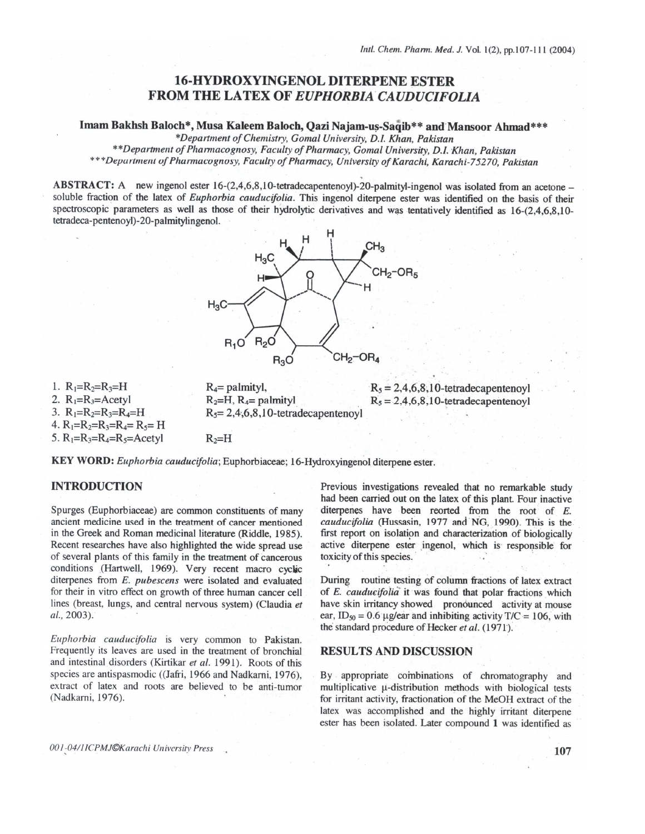# **16-HYDROXYINGENOL DITERPENE ESTER FROM THE LATEX OF EUPHORBIA CAUDUCIFOLIA**

Imam Bakhsh Baloch\*, Musa Kaleem Baloch, Qazi Najam-us-Saqib\*\* and Mansoor Ahmad\*\*\*

\*Department of Chemistry, Gomal University, D.I. Khan, Pakistan

\*\*Department of Pharmacognosy, Faculty of Pharmacy, Gomal University, D.I. Khan, Pakistan \*\*\*Department of Pharmacognosy, Faculty of Pharmacy, University of Karachi, Karachi-75270, Pakistan

ABSTRACT: A new ingenol ester 16-(2,4,6,8,10-tetradecapentenoyl)-20-palmityl-ingenol was isolated from an acetone soluble fraction of the latex of Euphorbia cauducifolia. This ingenol diterpene ester was identified on the basis of their spectroscopic parameters as well as those of their hydrolytic derivatives and was tentatively identified as 16-(2,4,6,8,10tetradeca-pentenoyl)-20-palmitylingenol.



1.  $R_1=R_2=R_3=H$ 2.  $R_1=R_3=$ Acetyl 3.  $R_1=R_2=R_3=R_4=H$ 4.  $R_1=R_2=R_3=R_4=R_5=H$ 5.  $R_1=R_3=R_4=R_5=Acety$ 

 $R_4$ = palmityl,  $R_2=H$ ,  $R_4=$  palmityl  $R_5 = 2,4,6,8,10$ -tetradecapentenovl  $R_5 = 2,4,6,8,10$ -tetradecapentenoyl  $R_5 = 2,4,6,8,10$ -tetradecapentenoyl

KEY WORD: Euphorbia cauducifolia; Euphorbiaceae; 16-Hydroxyingenol diterpene ester.

 $R_2=H$ 

## **INTRODUCTION**

Spurges (Euphorbiaceae) are common constituents of many ancient medicine used in the treatment of cancer mentioned in the Greek and Roman medicinal literature (Riddle, 1985). Recent researches have also highlighted the wide spread use of several plants of this family in the treatment of cancerous conditions (Hartwell, 1969). Very recent macro cyclic diterpenes from E. pubescens were isolated and evaluated for their in vitro effect on growth of three human cancer cell lines (breast, lungs, and central nervous system) (Claudia et al., 2003).

Euphorbia cauducifolia is very common to Pakistan. Frequently its leaves are used in the treatment of bronchial and intestinal disorders (Kirtikar et al. 1991). Roots of this species are antispasmodic ((Jafri, 1966 and Nadkarni, 1976), extract of latex and roots are believed to be anti-tumor (Nadkarni, 1976).

Previous investigations revealed that no remarkable study had been carried out on the latex of this plant. Four inactive diterpenes have been reorted from the root of E. cauducifolia (Hussasin, 1977 and NG, 1990). This is the first report on isolation and characterization of biologically active diterpene ester ingenol, which is responsible for toxicity of this species.

During routine testing of column fractions of latex extract of E. cauducifolia it was found that polar fractions which have skin irritancy showed pronounced activity at mouse ear, ID<sub>50</sub> = 0.6 µg/ear and inhibiting activity T/C = 106, with the standard procedure of Hecker et al. (1971).

## **RESULTS AND DISCUSSION**

By appropriate combinations of chromatography and multiplicative µ-distribution methods with biological tests for irritant activity, fractionation of the MeOH extract of the latex was accomplished and the highly irritant diterpene ester has been isolated. Later compound 1 was identified as

001-04/11CPMJ©Karachi University Press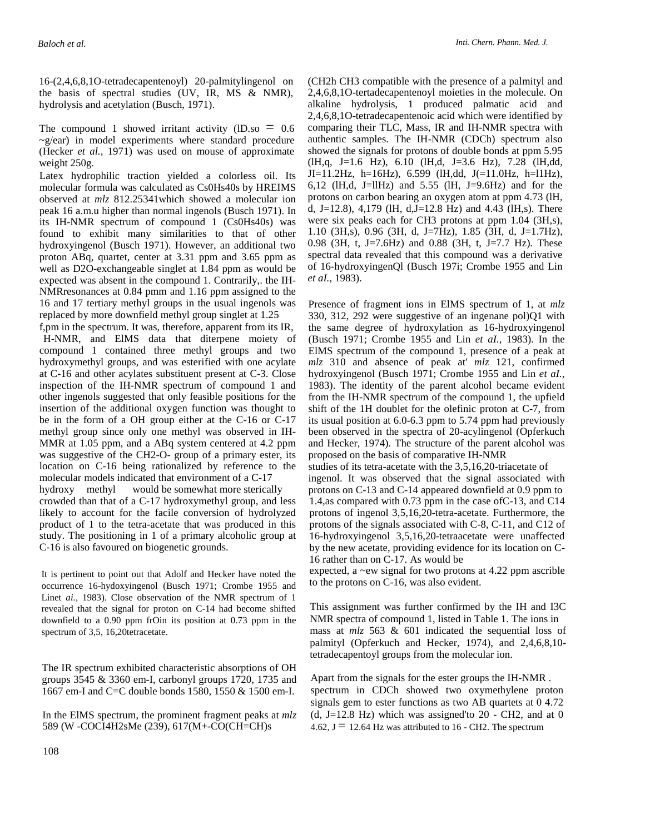16-(2,4,6,8,1O-tetradecapentenoyl) 20-palmitylingenol on the basis of spectral studies (UV, IR, MS & NMR), hydrolysis and acetylation (Busch, 1971).

The compound 1 showed irritant activity  $(ID.so = 0.6$  $\sim$ g/ear) in model experiments where standard procedure (Hecker *et al.,* 1971) was used on mouse of approximate weight 250g.

Latex hydrophilic traction yielded a colorless oil. Its molecular formula was calculated as Cs0Hs40s by HREIMS observed at *mlz* 812.25341which showed a molecular ion peak 16 a.m.u higher than normal ingenols (Busch 1971). In its IH-NMR spectrum of compound 1 (Cs0Hs40s) was found to exhibit many similarities to that of other hydroxyingenol (Busch 1971). However, an additional two proton ABq, quartet, center at 3.31 ppm and 3.65 ppm as well as D2O-exchangeable singlet at 1.84 ppm as would be expected was absent in the compound 1. Contrarily,. the IH-NMRresonances at 0.84 pmm and 1.16 ppm assigned to the 16 and 17 tertiary methyl groups in the usual ingenols was replaced by more downfield methyl group singlet at 1.25

f,pm in the spectrum. It was, therefore, apparent from its IR, H-NMR, and ElMS data that diterpene moiety of compound 1 contained three methyl groups and two hydroxymethyl groups, and was esterified with one acylate at C-16 and other acylates substituent present at C-3. Close inspection of the IH-NMR spectrum of compound 1 and other ingenols suggested that only feasible positions for the insertion of the additional oxygen function was thought to be in the form of a OH group either at the C-16 or C-17 methyl group since only one methyl was observed in IH-MMR at 1.05 ppm, and a ABq system centered at 4.2 ppm was suggestive of the CH2-O- group of a primary ester, its location on C-16 being rationalized by reference to the molecular models indicated that environment of a C-17 hydroxy methyl would be somewhat more sterically

crowded than that of a C-17 hydroxymethyl group, and less likely to account for the facile conversion of hydrolyzed product of 1 to the tetra-acetate that was produced in this study. The positioning in 1 of a primary alcoholic group at C-16 is also favoured on biogenetic grounds.

It is pertinent to point out that Adolf and Hecker have noted the occurrence 16-hydoxyingenol (Busch 1971; Crombe 1955 and Linet *ai.,* 1983). Close observation of the NMR spectrum of 1 revealed that the signal for proton on C-14 had become shifted downfield to a 0.90 ppm frOin its position at 0.73 ppm in the spectrum of 3,5, 16,20tetracetate.

The IR spectrum exhibited characteristic absorptions of OH groups 3545 & 3360 em-I, carbonyl groups 1720, 1735 and 1667 em-I and C=C double bonds 1580, 1550 & 1500 em-I.

In the ElMS spectrum, the prominent fragment peaks at *mlz*  589 (W -COCI4H2sMe (239), 617(M+-CO(CH=CH)s

(CH2h CH3 compatible with the presence of a palmityl and 2,4,6,8,1O-tertadecapentenoyl moieties in the molecule. On alkaline hydrolysis, 1 produced palmatic acid and 2,4,6,8,1O-tetradecapentenoic acid which were identified by comparing their TLC, Mass, IR and IH-NMR spectra with authentic samples. The IH-NMR (CDCh) spectrum also showed the signals for protons of double bonds at ppm 5.95 (lH,q, J=1.6 Hz), 6.10 (lH,d, J=3.6 Hz), 7.28 (lH,dd,  $JI=11.2Hz$ , h=16Hz), 6.599 (lH,dd, J(=11.0Hz, h=11Hz), 6,12 (IH,d, J=IIHz) and 5.55 (IH, J=9.6Hz) and for the protons on carbon bearing an oxygen atom at ppm 4.73 (lH, d, J=12.8), 4,179 (IH, d, J=12.8 Hz) and 4.43 (IH, s). There were six peaks each for CH3 protons at ppm 1.04 (3H,s), 1.10 (3H,s), 0.96 (3H, d, J=7Hz), 1.85 (3H, d, J=1.7Hz), 0.98 (3H, t, J=7.6Hz) and 0.88 (3H, t, J=7.7 Hz). These spectral data revealed that this compound was a derivative of 16-hydroxyingenQl (Busch 197i; Crombe 1955 and Lin *et aI.,* 1983).

Presence of fragment ions in ElMS spectrum of 1, at *mlz*  330, 312, 292 were suggestive of an ingenane pol)Q1 with the same degree of hydroxylation as 16-hydroxyingenol (Busch 1971; Crombe 1955 and Lin *et aI.,* 1983). In the ElMS spectrum of the compound 1, presence of a peak at *mlz* 310 and absence of peak at' *mlz* 121, confirmed hydroxyingenol (Busch 1971; Crombe 1955 and Lin *et aI.,*  1983). The identity of the parent alcohol became evident from the IH-NMR spectrum of the compound 1, the upfield shift of the 1H doublet for the olefinic proton at C-7, from its usual position at 6.0-6.3 ppm to 5.74 ppm had previously been observed in the spectra of 20-acylingenol (Opferkuch and Hecker, 1974). The structure of the parent alcohol was proposed on the basis of comparative IH-NMR studies of its tetra-acetate with the 3,5,16,20-triacetate of

ingenol. It was observed that the signal associated with protons on C-13 and C-14 appeared downfield at 0.9 ppm to 1.4,as compared with 0.73 ppm in the case ofC-13, and C14 protons of ingenol 3,5,16,20-tetra-acetate. Furthermore, the protons of the signals associated with C-8, C-11, and C12 of 16-hydroxyingenol 3,5,16,20-tetraacetate were unaffected by the new acetate, providing evidence for its location on C-16 rather than on C-17. As would be

expected, a ~ew signal for two protons at 4.22 ppm ascrible to the protons on C-16, was also evident.

This assignment was further confirmed by the IH and I3C NMR spectra of compound 1, listed in Table 1. The ions in mass at *mlz* 563 & 601 indicated the sequential loss of palmityl (Opferkuch and Hecker, 1974), and 2,4,6,8,10 tetradecapentoyl groups from the molecular ion.

Apart from the signals for the ester groups the IH-NMR . spectrum in CDCh showed two oxymethylene proton signals gem to ester functions as two AB quartets at 0 4.72 (d, J=12.8 Hz) which was assigned to  $20$  - CH2, and at 0 4.62,  $J = 12.64$  Hz was attributed to 16 - CH2. The spectrum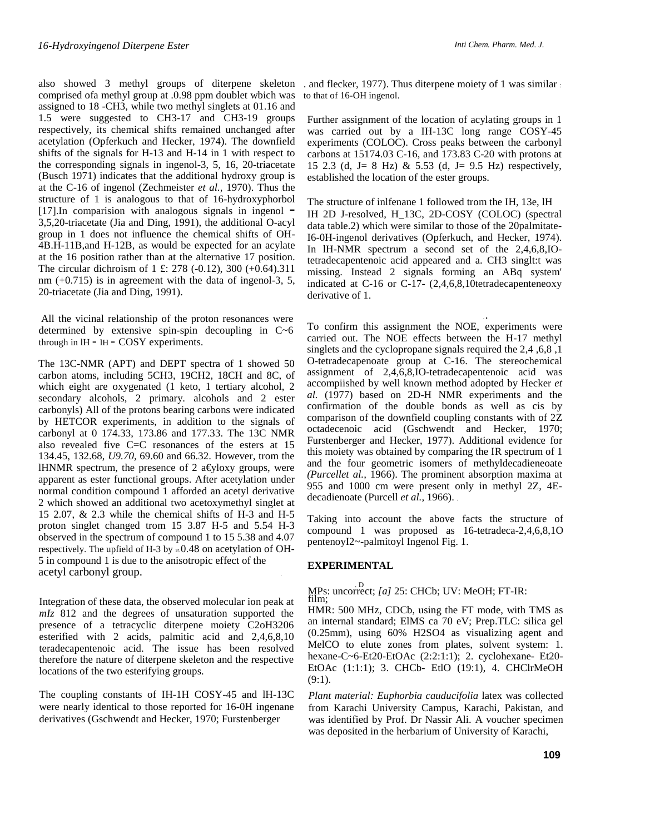comprised ofa methyl group at .0.98 ppm doublet wbich was assigned to 18 -CH3, while two methyl singlets at 01.16 and 1.5 were suggested to CH3-17 and CH3-19 groups respectively, its chemical shifts remained unchanged after acetylation (Opferkuch and Hecker, 1974). The downfield shifts of the signals for H-13 and H-14 in 1 with respect to the corresponding signals in ingenol-3, 5, 16, 20-triacetate (Busch 1971) indicates that the additional hydroxy group is at the C-16 of ingenol (Zechmeister *et al.,* 1970). Thus the structure of 1 is analogous to that of 16-hydroxyphorbol  $[17]$ . In comparision with analogous signals in ingenol  $-$ 3,5,20-triacetate (Jia and Ding, 1991), the additional O-acyl group in 1 does not influence the chemical shifts of OH-4B.H-11B,and H-12B, as would be expected for an acylate at the 16 position rather than at the alternative 17 position. The circular dichroism of 1 £: 278 (-0.12), 300 (+0.64).311 nm  $(+0.715)$  is in agreement with the data of ingenol-3, 5, 20-triacetate (Jia and Ding, 1991).

All the vicinal relationship of the proton resonances were determined by extensive spin-spin decoupling in C~6 through in  $IH - IH - COSY$  experiments.

The 13C-NMR (APT) and DEPT spectra of 1 showed 50 carbon atoms, including 5CH3, 19CH2, 18CH and 8C, of which eight are oxygenated (1 keto, 1 tertiary alcohol, 2 secondary alcohols, 2 primary. alcohols and 2 ester carbonyls) All of the protons bearing carbons were indicated by HETCOR experiments, in addition to the signals of carbonyl at 0 174.33, 173.86 and 177.33. The 13C NMR also revealed five C=C resonances of the esters at 15 134.45, 132.68, *U9.70,* 69.60 and 66.32. However, trom the lHNMR spectrum, the presence of 2 a€yloxy groups, were apparent as ester functional groups. After acetylation under normal condition compound 1 afforded an acetyl derivative 2 which showed an additional two acetoxymethyl singlet at 15 2.07, & 2.3 while the chemical shifts of H-3 and H-5 proton singlet changed trom 15 3.87 H-5 and 5.54 H-3 observed in the spectrum of compound 1 to 15 5.38 and 4.07 respectively. The upfield of H-3 by  $.50.48$  on acetylation of OH-5 in compound 1 is due to the anisotropic effect of the acetyl carbonyl group. .

Integration of these data, the observed molecular ion peak at *mIz* 812 and the degrees of unsaturation supported the presence of a tetracyclic diterpene moiety C2oH3206 esterified with 2 acids, palmitic acid and 2,4,6,8,10 teradecapentenoic acid. The issue has been resolved therefore the nature of diterpene skeleton and the respective locations of the two esterifying groups.

The coupling constants of IH-1H COSY-45 and lH-13C were nearly identical to those reported for 16-0H ingenane derivatives (Gschwendt and Hecker, 1970; Furstenberger

also showed 3 methyl groups of diterpene skeleton . and flecker, 1977). Thus diterpene moiety of 1 was similar to that of 16-OH ingenol.

> Further assignment of the location of acylating groups in 1 was carried out by a IH-13C long range COSY-45 experiments (COLOC). Cross peaks between the carbonyl carbons at 15174.03 C-16, and 173.83 C-20 with protons at 15 2.3 (d, J= 8 Hz) & 5.53 (d, J= 9.5 Hz) respectively, established the location of the ester groups.

> The structure of inlfenane 1 followed trom the IH, 13e, lH IH 2D J-resolved, H\_13C, 2D-COSY (COLOC) (spectral data table.2) which were similar to those of the 20palmitate-I6-0H-ingenol derivatives (Opferkuch, and Hecker, 1974). In lH-NMR spectrum a second set of the 2,4,6,8,IOtetradecapentenoic acid appeared and a. CH3 singlt:t was missing. Instead 2 signals forming an ABq system' indicated at C-16 or C-17- (2,4,6,8,10tetradecapenteneoxy derivative of 1.

> . . To confirm this assignment the NOE, experiments were carried out. The NOE effects between the H-17 methyl singlets and the cyclopropane signals required the 2,4 ,6,8 ,1 O-tetradecapenoate group at C-16. The stereochemical assignment of 2,4,6,8,IO-tetradecapentenoic acid was accompiished by well known method adopted by Hecker *et al.* (1977) based on 2D-H NMR experiments and the confirmation of the double bonds as well as cis by comparison of the downfield coupling constants with of 2Z octadecenoic acid (Gschwendt and Hecker, 1970; Furstenberger and Hecker, 1977). Additional evidence for this moiety was obtained by comparing the IR spectrum of 1 and the four geometric isomers of methyldecadieneoate *(Purcellet al.,* 1966). The prominent absorption maxima at 955 and 1000 cm were present only in methyl 2Z, 4Edecadienoate (Purcell *et al.,* 1966). .

> Taking into account the above facts the structure of compound 1 was proposed as 16-tetradeca-2,4,6,8,1O pentenoyI2~-palmitoyl Ingenol Fig. 1.

### **EXPERIMENTAL**

#### . D MPs: uncorrect; *[a]* 25: CHCb; UV: MeOH; FT-IR: film;

HMR: 500 MHz, CDCb, using the FT mode, with TMS as an internal standard; ElMS ca 70 eV; Prep.TLC: silica gel (0.25mm), using 60% H2SO4 as visualizing agent and MelCO to elute zones from plates, solvent system: 1. hexane-C~6-Et20-EtOAc (2:2:1:1); 2. cyclohexane- Et20- EtOAc (1:1:1); 3. CHCb- EtlO (19:1), 4. CHClrMeOH  $(9:1)$ .

*Plant material: Euphorbia cauducifolia* latex was collected from Karachi University Campus, Karachi, Pakistan, and was identified by Prof. Dr Nassir Ali. A voucher specimen was deposited in the herbarium of University of Karachi,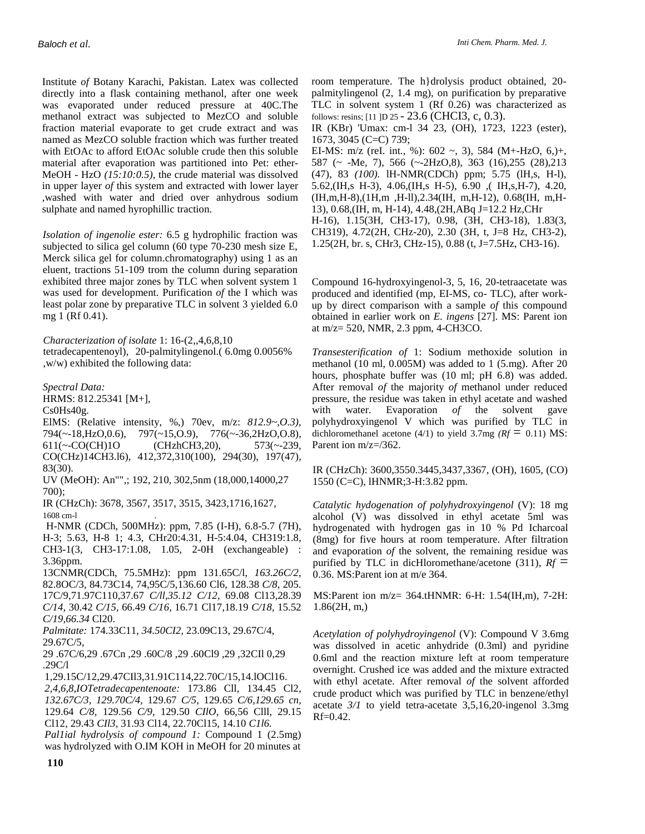Institute *of* Botany Karachi, Pakistan. Latex was collected directly into a flask containing methanol, after one week was evaporated under reduced pressure at 40C.The methanol extract was subjected to MezCO and soluble fraction material evaporate to get crude extract and was named as MezCO soluble fraction which was further treated with EtOAc to afford EtOAc soluble crude then this soluble material after evaporation was partitioned into Pet: ether-MeOH - HzO *(15:10:0.5),* the crude material was dissolved in upper layer *of* this system and extracted with lower layer ,washed with water and dried over anhydrous sodium sulphate and named hyrophillic traction.

*Isolation of ingenolie ester:* 6.5 g hydrophilic fraction was subjected to silica gel column (60 type 70-230 mesh size E, Merck silica gel for column.chromatography) using 1 as an eluent, tractions 51-109 trom the column during separation exhibited three major zones by TLC when solvent system 1 was used for development. Purification *of* the I which was least polar zone by preparative TLC in solvent 3 yielded 6.0 mg 1 (Rf 0.41).

*Characterization of isolate* 1: 16-(2,,4,6,8,10 tetradecapentenoyl), 20-palmitylingenol.( 6.0mg 0.0056% ,w/w) exhibited the following data:

*Spectral Data:*

HRMS: 812.25341 [M+],

Cs0Hs40g.

ElMS: (Relative intensity, %,) 70ev, m/z: *812.9~,O.3),*  794(~-18,HzO,0.6), 797(~15,O.9), 776(~-36,2HzO,O.8), 611(~-CO(CH)1O (CHzhCH3,20), 573(~-239, CO(CHz)14CH3.l6), 412,372,310(100), 294(30), 197(47), 83(30).

UV (MeOH): An"",; 192, 210, 302,5nm (18,000,14000,27 700);

IR (CHzCh): 3678, 3567, 3517, 3515, 3423,1716,1627, 1608 cm-l .

H-NMR (CDCh, 500MHz): ppm, 7.85 (I-H), 6.8-5.7 (7H), H-3; 5.63, H-8 1; 4.3, CHr20:4.31, H-5:4.04, CH319:1.8, CH3-1(3, CH3-17:1.08, 1.05, 2-0H (exchangeable) : 3.36ppm.

13CNMR(CDCh, 75.5MHz): ppm 131.65C/l, *163.26C/2,*  82.8OC/3, 84.73C14, 74,95C/5,136.60 Cl6, 128.38 *C/8,* 205. 17C/9,71.97C110,37.67 *C/ll,35.12 C/12,* 69.08 Cl13,28.39 *C/14,* 30.42 *C/15,* 66.49 *C/16,* 16.71 Cl17,18.19 *C/18,* 15.52 *C/19,66.34* Cl20.

*Palmitate:* 174.33C11, *34.50CI2,* 23.09C13, 29.67C/4, 29.67C/5,

29 .67C/6,29 .67Cn ,29 .60C/8 ,29 .60Cl9 ,29 ,32CIl 0,29 .29C/l

1,29.15C/12,29.47CIl3,31.91C114,22.70C/15,14.lOCl16.

*2,4,6,8,IOTetradecapentenoate:* 173.86 Cll, 134.45 Cl2, *132.67C/3, 129.70C/4,* 129.67 *C/5,* 129.65 *C/6,129.65 cn,*  129.64 *C/8,* 129.56 *C/9,* 129.50 *CIlO,* 66,56 Clll, 29.15 Cl12, 29.43 *CIl3,* 31.93 Cl14, 22.70Cl15, 14.10 *C1l6.* 

*Pal1ial hydrolysis of compound 1:* Compound 1 (2.5mg) was hydrolyzed with O.IM KOH in MeOH for 20 minutes at

room temperature. The h}drolysis product obtained, 20 palmitylingenol (2, 1.4 mg), on purification by preparative TLC in solvent system 1 (Rf 0.26) was characterized as follows: resins; [11 ]D 25 - 23.6 (CHCI3, c, 0.3).

IR (KBr) 'Umax: cm-l 34 23, (OH), 1723, 1223 (ester), 1673, 3045 (C=C) 739;

EI-MS: m/z (reI. int., %): 602 ~, 3), 584 (M+-HzO, 6,)+, 587 (~ -Me, 7), 566 (~-2HzO,8), 363 (16),255 (28),213 (47), 83 *(100).* lH-NMR(CDCh) ppm; 5.75 (lH,s, H-l), 5.62,(IH,s H-3), 4.06,(IH,s H-5), 6.90 ,( IH,s,H-7), 4.20, (IH,m,H-8),(1H,m ,H-ll),2.34(IH, m,H-12), 0.68(IH, m,H-13), 0.68,(IH, m, H-14), 4.48,(2H,ABq J=12.2 Hz,CHr H-16), 1.15(3H, CH3-17), 0.98, (3H, CH3-18), 1.83(3, CH319), 4.72(2H, CHz-20), 2.30 (3H, t, J=8 Hz, CH3-2), 1.25(2H, br. s, CHr3, CHz-15), 0.88 (t, J=7.5Hz, CH3-16).

Compound 16-hydroxyingenol-3, 5, 16, 20-tetraacetate was produced and identified (mp, EI-MS, co- TLC), after workup by direct comparison with a sample *of* this compound obtained in earlier work on *E. ingens* [27]. MS: Parent ion at m/z= 520, NMR, 2.3 ppm, 4-CH3CO.

*Transesterification of* 1: Sodium methoxide solution in methanol (10 ml, 0.005M) was added to 1 (5.mg). After 20 hours, phosphate buffer was (10 ml; pH 6.8) was added. After removal *of* the majority *of* methanol under reduced pressure, the residue was taken in ethyl acetate and washed with water. Evaporation of the solvent gave polyhydroxyingenol V which was purified by TLC in dichloromethanel acetone (4/1) to yield 3.7mg  $(Rf = 0.11)$  MS: Parent ion m/z=/362.

IR (CHzCh): 3600,3550.3445,3437,3367, (OH), 1605, (CO) 1550 (C=C), lHNMR;3-H:3.82 ppm.

*Catalytic hydogenation of polyhydroxyingenol* (V): 18 mg alcohol (V) was dissolved in ethyl acetate 5ml was hydrogenated with hydrogen gas in 10 % Pd Icharcoal (8mg) for five hours at room temperature. After filtration and evaporation *of* the solvent, the remaining residue was purified by TLC in dicHloromethane/acetone (311),  $Rf =$ 0.36. MS:Parent ion at m/e 364.

MS:Parent ion m/z= 364.tHNMR: 6-H: 1.54(IH,m), 7-2H: 1.86(2H, m,)

*Acetylation of polyhydroyingenol* (V): Compound V 3.6mg was dissolved in acetic anhydride (0.3ml) and pyridine 0.6ml and the reaction mixture left at room temperature overnight. Crushed ice was added and the mixture extracted with ethyl acetate. After removal *of* the solvent afforded crude product which was purified by TLC in benzene/ethyl acetate *3/1* to yield tetra-acetate 3,5,16,20-ingenol 3.3mg  $Rf=0.42$ .